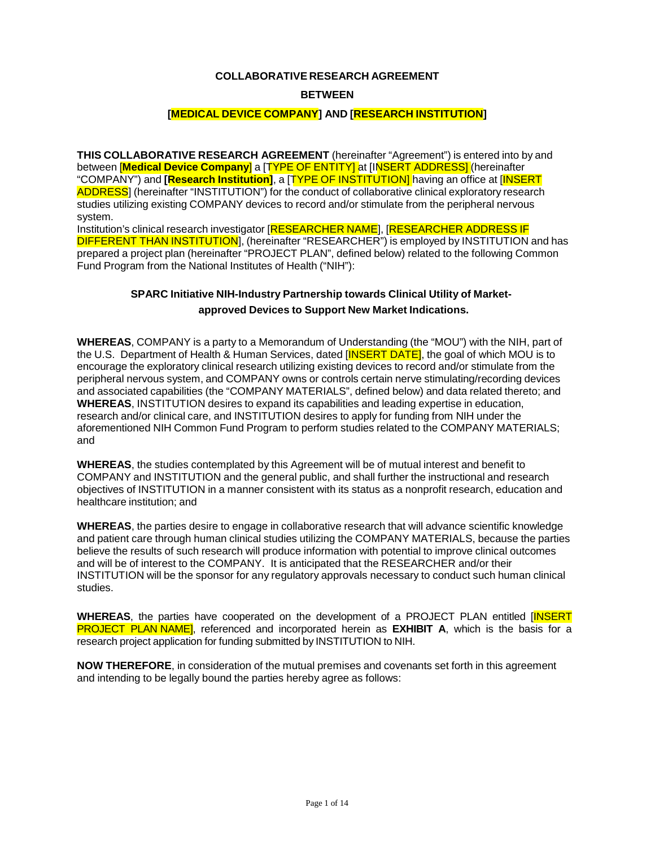#### **COLLABORATIVE RESEARCH AGREEMENT**

### **BETWEEN**

# **[MEDICAL DEVICE COMPANY] AND [RESEARCH INSTITUTION]**

**THIS COLLABORATIVE RESEARCH AGREEMENT** (hereinafter "Agreement") is entered into by and between [**Medical Device Company**] a [TYPE OF ENTITY] at [INSERT ADDRESS] (hereinafter "COMPANY") and **[Research Institution]**, a [TYPE OF INSTITUTION] having an office at [INSERT ADDRESS] (hereinafter "INSTITUTION") for the conduct of collaborative clinical exploratory research studies utilizing existing COMPANY devices to record and/or stimulate from the peripheral nervous system.

Institution's clinical research investigator [RESEARCHER NAME], [RESEARCHER ADDRESS IF DIFFERENT THAN INSTITUTION], (hereinafter "RESEARCHER") is employed by INSTITUTION and has prepared a project plan (hereinafter "PROJECT PLAN", defined below) related to the following Common Fund Program from the National Institutes of Health ("NIH"):

# **SPARC Initiative NIH-Industry Partnership towards Clinical Utility of Marketapproved Devices to Support New Market Indications.**

**WHEREAS**, COMPANY is a party to a Memorandum of Understanding (the "MOU") with the NIH, part of the U.S. Department of Health & Human Services, dated [INSERT DATE], the goal of which MOU is to encourage the exploratory clinical research utilizing existing devices to record and/or stimulate from the peripheral nervous system, and COMPANY owns or controls certain nerve stimulating/recording devices and associated capabilities (the "COMPANY MATERIALS", defined below) and data related thereto; and **WHEREAS**, INSTITUTION desires to expand its capabilities and leading expertise in education, research and/or clinical care, and INSTITUTION desires to apply for funding from NIH under the aforementioned NIH Common Fund Program to perform studies related to the COMPANY MATERIALS; and

**WHEREAS**, the studies contemplated by this Agreement will be of mutual interest and benefit to COMPANY and INSTITUTION and the general public, and shall further the instructional and research objectives of INSTITUTION in a manner consistent with its status as a nonprofit research, education and healthcare institution; and

**WHEREAS**, the parties desire to engage in collaborative research that will advance scientific knowledge and patient care through human clinical studies utilizing the COMPANY MATERIALS, because the parties believe the results of such research will produce information with potential to improve clinical outcomes and will be of interest to the COMPANY. It is anticipated that the RESEARCHER and/or their INSTITUTION will be the sponsor for any regulatory approvals necessary to conduct such human clinical studies.

WHEREAS, the parties have cooperated on the development of a PROJECT PLAN entitled [INSERT] PROJECT PLAN NAME], referenced and incorporated herein as **EXHIBIT A**, which is the basis for a research project application for funding submitted by INSTITUTION to NIH.

**NOW THEREFORE**, in consideration of the mutual premises and covenants set forth in this agreement and intending to be legally bound the parties hereby agree as follows: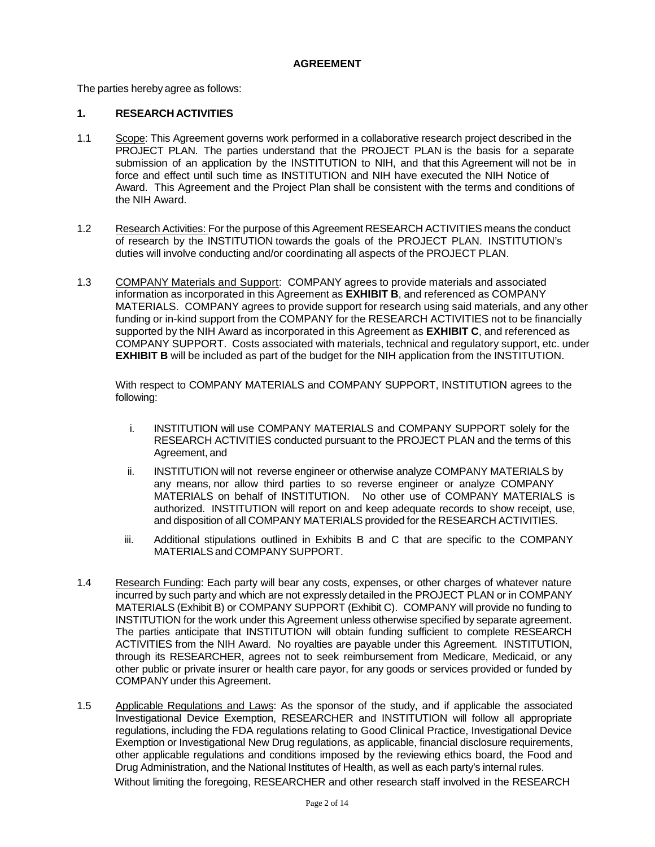#### **AGREEMENT**

The parties hereby agree as follows:

# **1. RESEARCH ACTIVITIES**

- 1.1 Scope: This Agreement governs work performed in a collaborative research project described in the PROJECT PLAN. The parties understand that the PROJECT PLAN is the basis for a separate submission of an application by the INSTITUTION to NIH, and that this Agreement will not be in force and effect until such time as INSTITUTION and NIH have executed the NIH Notice of Award. This Agreement and the Project Plan shall be consistent with the terms and conditions of the NIH Award.
- 1.2 Research Activities: For the purpose of this Agreement RESEARCH ACTIVITIES means the conduct of research by the INSTITUTION towards the goals of the PROJECT PLAN. INSTITUTION's duties will involve conducting and/or coordinating all aspects of the PROJECT PLAN.
- 1.3 COMPANY Materials and Support: COMPANY agrees to provide materials and associated information as incorporated in this Agreement as **EXHIBIT B**, and referenced as COMPANY MATERIALS. COMPANY agrees to provide support for research using said materials, and any other funding or in-kind support from the COMPANY for the RESEARCH ACTIVITIES not to be financially supported by the NIH Award as incorporated in this Agreement as **EXHIBIT C**, and referenced as COMPANY SUPPORT. Costs associated with materials, technical and regulatory support, etc. under **EXHIBIT B** will be included as part of the budget for the NIH application from the INSTITUTION.

With respect to COMPANY MATERIALS and COMPANY SUPPORT, INSTITUTION agrees to the following:

- i. INSTITUTION will use COMPANY MATERIALS and COMPANY SUPPORT solely for the RESEARCH ACTIVITIES conducted pursuant to the PROJECT PLAN and the terms of this Agreement, and
- ii. INSTITUTION will not reverse engineer or otherwise analyze COMPANY MATERIALS by any means, nor allow third parties to so reverse engineer or analyze COMPANY MATERIALS on behalf of INSTITUTION. No other use of COMPANY MATERIALS is authorized. INSTITUTION will report on and keep adequate records to show receipt, use, and disposition of all COMPANY MATERIALS provided for the RESEARCH ACTIVITIES.
- iii. Additional stipulations outlined in Exhibits B and C that are specific to the COMPANY MATERIALS and COMPANY SUPPORT.
- 1.4 Research Funding: Each party will bear any costs, expenses, or other charges of whatever nature incurred by such party and which are not expressly detailed in the PROJECT PLAN or in COMPANY MATERIALS (Exhibit B) or COMPANY SUPPORT (Exhibit C). COMPANY will provide no funding to INSTITUTION for the work under this Agreement unless otherwise specified by separate agreement. The parties anticipate that INSTITUTION will obtain funding sufficient to complete RESEARCH ACTIVITIES from the NIH Award. No royalties are payable under this Agreement. INSTITUTION, through its RESEARCHER, agrees not to seek reimbursement from Medicare, Medicaid, or any other public or private insurer or health care payor, for any goods or services provided or funded by COMPANYunder this Agreement.
- 1.5 Applicable Regulations and Laws: As the sponsor of the study, and if applicable the associated Investigational Device Exemption, RESEARCHER and INSTITUTION will follow all appropriate regulations, including the FDA regulations relating to Good Clinical Practice, Investigational Device Exemption or Investigational New Drug regulations, as applicable, financial disclosure requirements, other applicable regulations and conditions imposed by the reviewing ethics board, the Food and Drug Administration, and the National Institutes of Health, as well as each party's internal rules. Without limiting the foregoing, RESEARCHER and other research staff involved in the RESEARCH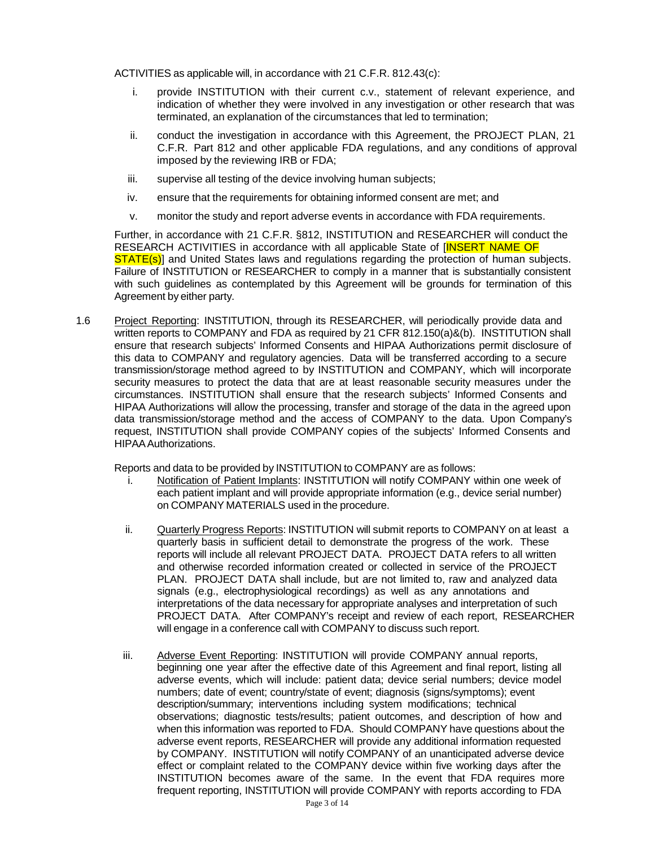ACTIVITIES as applicable will, in accordance with 21 C.F.R. 812.43(c):

- i. provide INSTITUTION with their current c.v., statement of relevant experience, and indication of whether they were involved in any investigation or other research that was terminated, an explanation of the circumstances that led to termination;
- ii. conduct the investigation in accordance with this Agreement, the PROJECT PLAN, 21 C.F.R. Part 812 and other applicable FDA regulations, and any conditions of approval imposed by the reviewing IRB or FDA;
- iii. supervise all testing of the device involving human subjects;
- iv. ensure that the requirements for obtaining informed consent are met; and
- v. monitor the study and report adverse events in accordance with FDA requirements.

Further, in accordance with 21 C.F.R. §812, INSTITUTION and RESEARCHER will conduct the RESEARCH ACTIVITIES in accordance with all applicable State of **[INSERT NAME OF STATE(s)** and United States laws and regulations regarding the protection of human subjects. Failure of INSTITUTION or RESEARCHER to comply in a manner that is substantially consistent with such guidelines as contemplated by this Agreement will be grounds for termination of this Agreement by either party.

1.6 Project Reporting: INSTITUTION, through its RESEARCHER, will periodically provide data and written reports to COMPANY and FDA as required by 21 CFR 812.150(a)&(b). INSTITUTION shall ensure that research subjects' Informed Consents and HIPAA Authorizations permit disclosure of this data to COMPANY and regulatory agencies. Data will be transferred according to a secure transmission/storage method agreed to by INSTITUTION and COMPANY, which will incorporate security measures to protect the data that are at least reasonable security measures under the circumstances. INSTITUTION shall ensure that the research subjects' Informed Consents and HIPAA Authorizations will allow the processing, transfer and storage of the data in the agreed upon data transmission/storage method and the access of COMPANY to the data. Upon Company's request, INSTITUTION shall provide COMPANY copies of the subjects' Informed Consents and HIPAA Authorizations.

Reports and data to be provided by INSTITUTION to COMPANY are as follows:

- i. Notification of Patient Implants: INSTITUTION will notify COMPANY within one week of each patient implant and will provide appropriate information (e.g., device serial number) on COMPANY MATERIALS used in the procedure.
- ii. Quarterly Progress Reports: INSTITUTION will submit reports to COMPANY on at least a quarterly basis in sufficient detail to demonstrate the progress of the work. These reports will include all relevant PROJECT DATA. PROJECT DATA refers to all written and otherwise recorded information created or collected in service of the PROJECT PLAN. PROJECT DATA shall include, but are not limited to, raw and analyzed data signals (e.g., electrophysiological recordings) as well as any annotations and interpretations of the data necessary for appropriate analyses and interpretation of such PROJECT DATA. After COMPANY's receipt and review of each report, RESEARCHER will engage in a conference call with COMPANY to discuss such report.
- iii. Adverse Event Reporting: INSTITUTION will provide COMPANY annual reports, beginning one year after the effective date of this Agreement and final report, listing all adverse events, which will include: patient data; device serial numbers; device model numbers; date of event; country/state of event; diagnosis (signs/symptoms); event description/summary; interventions including system modifications; technical observations; diagnostic tests/results; patient outcomes, and description of how and when this information was reported to FDA. Should COMPANY have questions about the adverse event reports, RESEARCHER will provide any additional information requested by COMPANY. INSTITUTION will notify COMPANY of an unanticipated adverse device effect or complaint related to the COMPANY device within five working days after the INSTITUTION becomes aware of the same. In the event that FDA requires more frequent reporting, INSTITUTION will provide COMPANY with reports according to FDA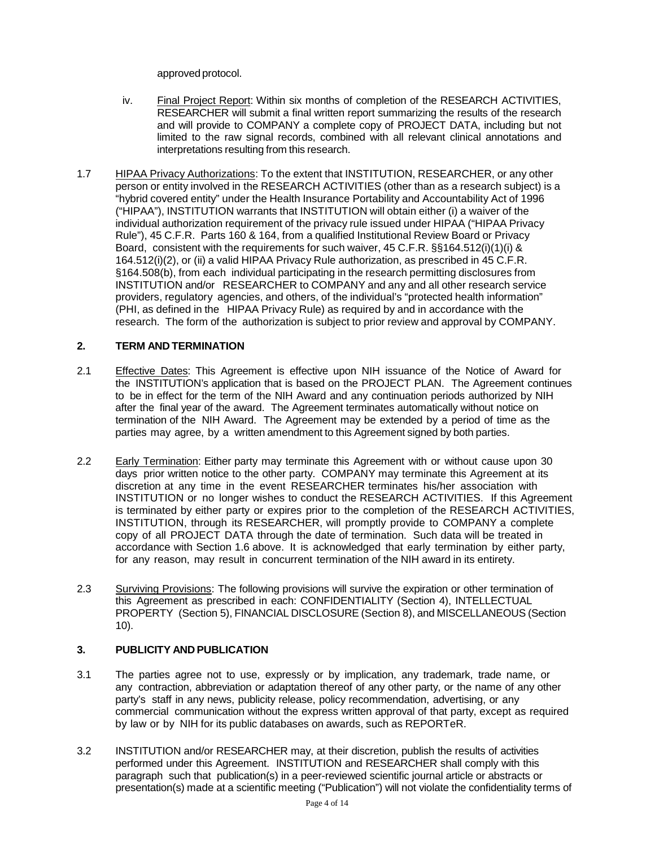approved protocol.

- iv. Final Project Report: Within six months of completion of the RESEARCH ACTIVITIES, RESEARCHER will submit a final written report summarizing the results of the research and will provide to COMPANY a complete copy of PROJECT DATA, including but not limited to the raw signal records, combined with all relevant clinical annotations and interpretations resulting from this research.
- 1.7 HIPAA Privacy Authorizations: To the extent that INSTITUTION, RESEARCHER, or any other person or entity involved in the RESEARCH ACTIVITIES (other than as a research subject) is a "hybrid covered entity" under the Health Insurance Portability and Accountability Act of 1996 ("HIPAA"), INSTITUTION warrants that INSTITUTION will obtain either (i) a waiver of the individual authorization requirement of the privacy rule issued under HIPAA ("HIPAA Privacy Rule"), 45 C.F.R. Parts 160 & 164, from a qualified Institutional Review Board or Privacy Board, consistent with the requirements for such waiver, 45 C.F.R. §§164.512(i)(1)(i) & 164.512(i)(2), or (ii) a valid HIPAA Privacy Rule authorization, as prescribed in 45 C.F.R. §164.508(b), from each individual participating in the research permitting disclosures from INSTITUTION and/or RESEARCHER to COMPANY and any and all other research service providers, regulatory agencies, and others, of the individual's "protected health information" (PHI, as defined in the HIPAA Privacy Rule) as required by and in accordance with the research. The form of the authorization is subject to prior review and approval by COMPANY.

# **2. TERM AND TERMINATION**

- 2.1 Effective Dates: This Agreement is effective upon NIH issuance of the Notice of Award for the INSTITUTION's application that is based on the PROJECT PLAN. The Agreement continues to be in effect for the term of the NIH Award and any continuation periods authorized by NIH after the final year of the award. The Agreement terminates automatically without notice on termination of the NIH Award. The Agreement may be extended by a period of time as the parties may agree, by a written amendment to this Agreement signed by both parties.
- 2.2 Early Termination: Either party may terminate this Agreement with or without cause upon 30 days prior written notice to the other party. COMPANY may terminate this Agreement at its discretion at any time in the event RESEARCHER terminates his/her association with INSTITUTION or no longer wishes to conduct the RESEARCH ACTIVITIES. If this Agreement is terminated by either party or expires prior to the completion of the RESEARCH ACTIVITIES, INSTITUTION, through its RESEARCHER, will promptly provide to COMPANY a complete copy of all PROJECT DATA through the date of termination. Such data will be treated in accordance with Section 1.6 above. It is acknowledged that early termination by either party, for any reason, may result in concurrent termination of the NIH award in its entirety.
- 2.3 Surviving Provisions: The following provisions will survive the expiration or other termination of this Agreement as prescribed in each: CONFIDENTIALITY (Section 4), INTELLECTUAL PROPERTY (Section 5), FINANCIAL DISCLOSURE (Section 8), and MISCELLANEOUS (Section 10).

# **3. PUBLICITY AND PUBLICATION**

- 3.1 The parties agree not to use, expressly or by implication, any trademark, trade name, or any contraction, abbreviation or adaptation thereof of any other party, or the name of any other party's staff in any news, publicity release, policy recommendation, advertising, or any commercial communication without the express written approval of that party, except as required by law or by NIH for its public databases on awards, such as REPORTeR.
- 3.2 INSTITUTION and/or RESEARCHER may, at their discretion, publish the results of activities performed under this Agreement. INSTITUTION and RESEARCHER shall comply with this paragraph such that publication(s) in a peer-reviewed scientific journal article or abstracts or presentation(s) made at a scientific meeting ("Publication") will not violate the confidentiality terms of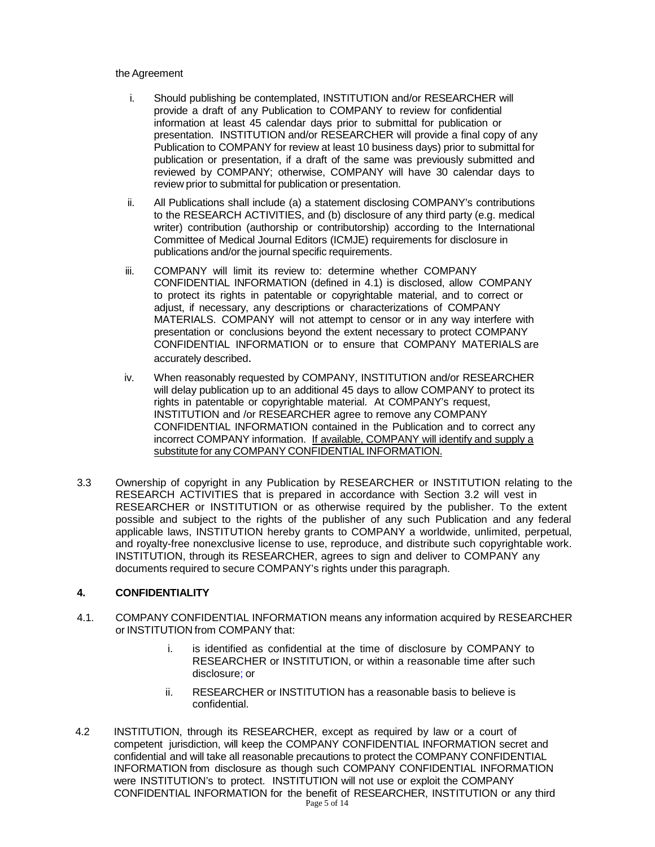#### the Agreement

- i. Should publishing be contemplated, INSTITUTION and/or RESEARCHER will provide a draft of any Publication to COMPANY to review for confidential information at least 45 calendar days prior to submittal for publication or presentation. INSTITUTION and/or RESEARCHER will provide a final copy of any Publication to COMPANY for review at least 10 business days) prior to submittal for publication or presentation, if a draft of the same was previously submitted and reviewed by COMPANY; otherwise, COMPANY will have 30 calendar days to review prior to submittal for publication or presentation.
- ii. All Publications shall include (a) a statement disclosing COMPANY's contributions to the RESEARCH ACTIVITIES, and (b) disclosure of any third party (e.g. medical writer) contribution (authorship or contributorship) according to the International Committee of Medical Journal Editors (ICMJE) requirements for disclosure in publications and/or the journal specific requirements.
- iii. COMPANY will limit its review to: determine whether COMPANY CONFIDENTIAL INFORMATION (defined in 4.1) is disclosed, allow COMPANY to protect its rights in patentable or copyrightable material, and to correct or adjust, if necessary, any descriptions or characterizations of COMPANY MATERIALS. COMPANY will not attempt to censor or in any way interfere with presentation or conclusions beyond the extent necessary to protect COMPANY CONFIDENTIAL INFORMATION or to ensure that COMPANY MATERIALS are accurately described.
- iv. When reasonably requested by COMPANY, INSTITUTION and/or RESEARCHER will delay publication up to an additional 45 days to allow COMPANY to protect its rights in patentable or copyrightable material. At COMPANY's request, INSTITUTION and /or RESEARCHER agree to remove any COMPANY CONFIDENTIAL INFORMATION contained in the Publication and to correct any incorrect COMPANY information. If available, COMPANY will identify and supply a substitute for any COMPANY CONFIDENTIAL INFORMATION.
- 3.3 Ownership of copyright in any Publication by RESEARCHER or INSTITUTION relating to the RESEARCH ACTIVITIES that is prepared in accordance with Section 3.2 will vest in RESEARCHER or INSTITUTION or as otherwise required by the publisher. To the extent possible and subject to the rights of the publisher of any such Publication and any federal applicable laws, INSTITUTION hereby grants to COMPANY a worldwide, unlimited, perpetual, and royalty-free nonexclusive license to use, reproduce, and distribute such copyrightable work. INSTITUTION, through its RESEARCHER, agrees to sign and deliver to COMPANY any documents required to secure COMPANY's rights under this paragraph.

#### **4. CONFIDENTIALITY**

- 4.1. COMPANY CONFIDENTIAL INFORMATION means any information acquired by RESEARCHER or INSTITUTION from COMPANY that:
	- i. is identified as confidential at the time of disclosure by COMPANY to RESEARCHER or INSTITUTION, or within a reasonable time after such disclosure; or
	- ii. RESEARCHER or INSTITUTION has a reasonable basis to believe is confidential.
- Page 5 of 14 4.2 INSTITUTION, through its RESEARCHER, except as required by law or a court of competent jurisdiction, will keep the COMPANY CONFIDENTIAL INFORMATION secret and confidential and will take all reasonable precautions to protect the COMPANY CONFIDENTIAL INFORMATION from disclosure as though such COMPANY CONFIDENTIAL INFORMATION were INSTITUTION's to protect. INSTITUTION will not use or exploit the COMPANY CONFIDENTIAL INFORMATION for the benefit of RESEARCHER, INSTITUTION or any third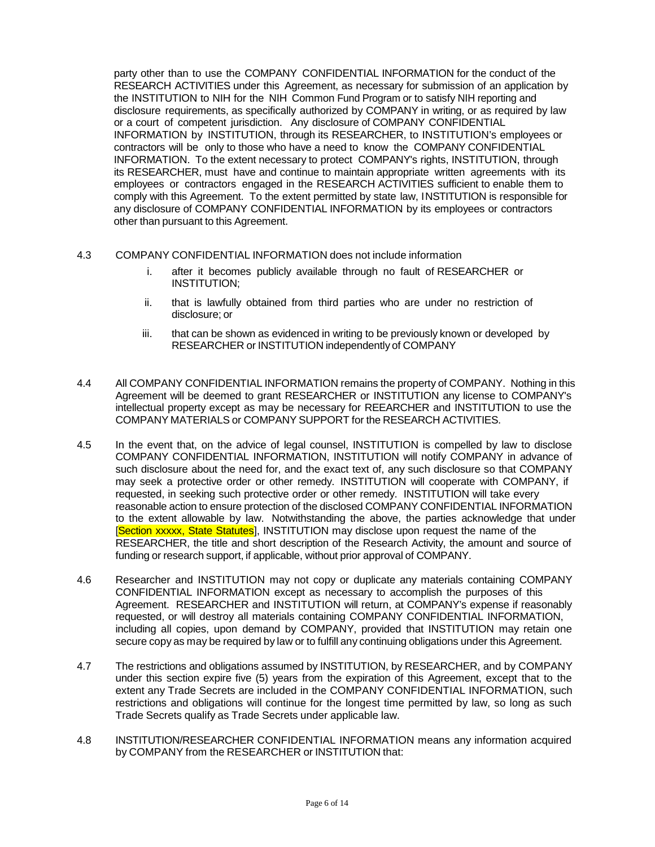party other than to use the COMPANY CONFIDENTIAL INFORMATION for the conduct of the RESEARCH ACTIVITIES under this Agreement, as necessary for submission of an application by the INSTITUTION to NIH for the NIH Common Fund Program or to satisfy NIH reporting and disclosure requirements, as specifically authorized by COMPANY in writing, or as required by law or a court of competent jurisdiction. Any disclosure of COMPANY CONFIDENTIAL INFORMATION by INSTITUTION, through its RESEARCHER, to INSTITUTION's employees or contractors will be only to those who have a need to know the COMPANY CONFIDENTIAL INFORMATION. To the extent necessary to protect COMPANY's rights, INSTITUTION, through its RESEARCHER, must have and continue to maintain appropriate written agreements with its employees or contractors engaged in the RESEARCH ACTIVITIES sufficient to enable them to comply with this Agreement. To the extent permitted by state law, INSTITUTION is responsible for any disclosure of COMPANY CONFIDENTIAL INFORMATION by its employees or contractors other than pursuant to this Agreement.

- 4.3 COMPANY CONFIDENTIAL INFORMATION does not include information
	- i. after it becomes publicly available through no fault of RESEARCHER or INSTITUTION;
	- ii. that is lawfully obtained from third parties who are under no restriction of disclosure; or
	- iii. that can be shown as evidenced in writing to be previously known or developed by RESEARCHER or INSTITUTION independently of COMPANY
- 4.4 All COMPANY CONFIDENTIAL INFORMATION remains the property of COMPANY. Nothing in this Agreement will be deemed to grant RESEARCHER or INSTITUTION any license to COMPANY's intellectual property except as may be necessary for REEARCHER and INSTITUTION to use the COMPANY MATERIALS or COMPANY SUPPORT for the RESEARCH ACTIVITIES.
- 4.5 In the event that, on the advice of legal counsel, INSTITUTION is compelled by law to disclose COMPANY CONFIDENTIAL INFORMATION, INSTITUTION will notify COMPANY in advance of such disclosure about the need for, and the exact text of, any such disclosure so that COMPANY may seek a protective order or other remedy. INSTITUTION will cooperate with COMPANY, if requested, in seeking such protective order or other remedy. INSTITUTION will take every reasonable action to ensure protection of the disclosed COMPANY CONFIDENTIAL INFORMATION to the extent allowable by law. Notwithstanding the above, the parties acknowledge that under [Section xxxxx, State Statutes], INSTITUTION may disclose upon request the name of the RESEARCHER, the title and short description of the Research Activity, the amount and source of funding or research support, if applicable, without prior approval of COMPANY.
- 4.6 Researcher and INSTITUTION may not copy or duplicate any materials containing COMPANY CONFIDENTIAL INFORMATION except as necessary to accomplish the purposes of this Agreement. RESEARCHER and INSTITUTION will return, at COMPANY's expense if reasonably requested, or will destroy all materials containing COMPANY CONFIDENTIAL INFORMATION, including all copies, upon demand by COMPANY, provided that INSTITUTION may retain one secure copy as may be required by law or to fulfill any continuing obligations under this Agreement.
- 4.7 The restrictions and obligations assumed by INSTITUTION, by RESEARCHER, and by COMPANY under this section expire five (5) years from the expiration of this Agreement, except that to the extent any Trade Secrets are included in the COMPANY CONFIDENTIAL INFORMATION, such restrictions and obligations will continue for the longest time permitted by law, so long as such Trade Secrets qualify as Trade Secrets under applicable law.
- 4.8 INSTITUTION/RESEARCHER CONFIDENTIAL INFORMATION means any information acquired by COMPANY from the RESEARCHER or INSTITUTION that: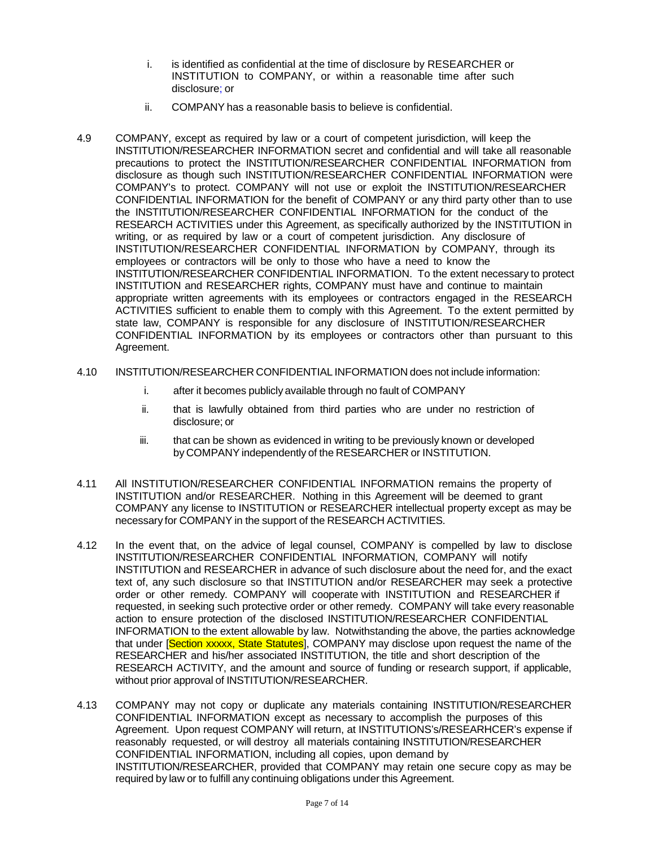- i. is identified as confidential at the time of disclosure by RESEARCHER or INSTITUTION to COMPANY, or within a reasonable time after such disclosure; or
- ii. COMPANY has a reasonable basis to believe is confidential.
- 4.9 COMPANY, except as required by law or a court of competent jurisdiction, will keep the INSTITUTION/RESEARCHER INFORMATION secret and confidential and will take all reasonable precautions to protect the INSTITUTION/RESEARCHER CONFIDENTIAL INFORMATION from disclosure as though such INSTITUTION/RESEARCHER CONFIDENTIAL INFORMATION were COMPANY's to protect. COMPANY will not use or exploit the INSTITUTION/RESEARCHER CONFIDENTIAL INFORMATION for the benefit of COMPANY or any third party other than to use the INSTITUTION/RESEARCHER CONFIDENTIAL INFORMATION for the conduct of the RESEARCH ACTIVITIES under this Agreement, as specifically authorized by the INSTITUTION in writing, or as required by law or a court of competent jurisdiction. Any disclosure of INSTITUTION/RESEARCHER CONFIDENTIAL INFORMATION by COMPANY, through its employees or contractors will be only to those who have a need to know the INSTITUTION/RESEARCHER CONFIDENTIAL INFORMATION. To the extent necessary to protect INSTITUTION and RESEARCHER rights, COMPANY must have and continue to maintain appropriate written agreements with its employees or contractors engaged in the RESEARCH ACTIVITIES sufficient to enable them to comply with this Agreement. To the extent permitted by state law, COMPANY is responsible for any disclosure of INSTITUTION/RESEARCHER CONFIDENTIAL INFORMATION by its employees or contractors other than pursuant to this Agreement.
- 4.10 INSTITUTION/RESEARCHER CONFIDENTIAL INFORMATION does not include information:
	- i. after it becomes publicly available through no fault of COMPANY
	- ii. that is lawfully obtained from third parties who are under no restriction of disclosure; or
	- iii. that can be shown as evidenced in writing to be previously known or developed by COMPANY independently of the RESEARCHER or INSTITUTION.
- 4.11 All INSTITUTION/RESEARCHER CONFIDENTIAL INFORMATION remains the property of INSTITUTION and/or RESEARCHER. Nothing in this Agreement will be deemed to grant COMPANY any license to INSTITUTION or RESEARCHER intellectual property except as may be necessary for COMPANY in the support of the RESEARCH ACTIVITIES.
- 4.12 In the event that, on the advice of legal counsel, COMPANY is compelled by law to disclose INSTITUTION/RESEARCHER CONFIDENTIAL INFORMATION, COMPANY will notify INSTITUTION and RESEARCHER in advance of such disclosure about the need for, and the exact text of, any such disclosure so that INSTITUTION and/or RESEARCHER may seek a protective order or other remedy. COMPANY will cooperate with INSTITUTION and RESEARCHER if requested, in seeking such protective order or other remedy. COMPANY will take every reasonable action to ensure protection of the disclosed INSTITUTION/RESEARCHER CONFIDENTIAL INFORMATION to the extent allowable by law. Notwithstanding the above, the parties acknowledge that under **Section xxxxx, State Statutes**, COMPANY may disclose upon request the name of the RESEARCHER and his/her associated INSTITUTION, the title and short description of the RESEARCH ACTIVITY, and the amount and source of funding or research support, if applicable, without prior approval of INSTITUTION/RESEARCHER.
- 4.13 COMPANY may not copy or duplicate any materials containing INSTITUTION/RESEARCHER CONFIDENTIAL INFORMATION except as necessary to accomplish the purposes of this Agreement. Upon request COMPANY will return, at INSTITUTIONS's/RESEARHCER's expense if reasonably requested, or will destroy all materials containing INSTITUTION/RESEARCHER CONFIDENTIAL INFORMATION, including all copies, upon demand by INSTITUTION/RESEARCHER, provided that COMPANY may retain one secure copy as may be required by law or to fulfill any continuing obligations under this Agreement.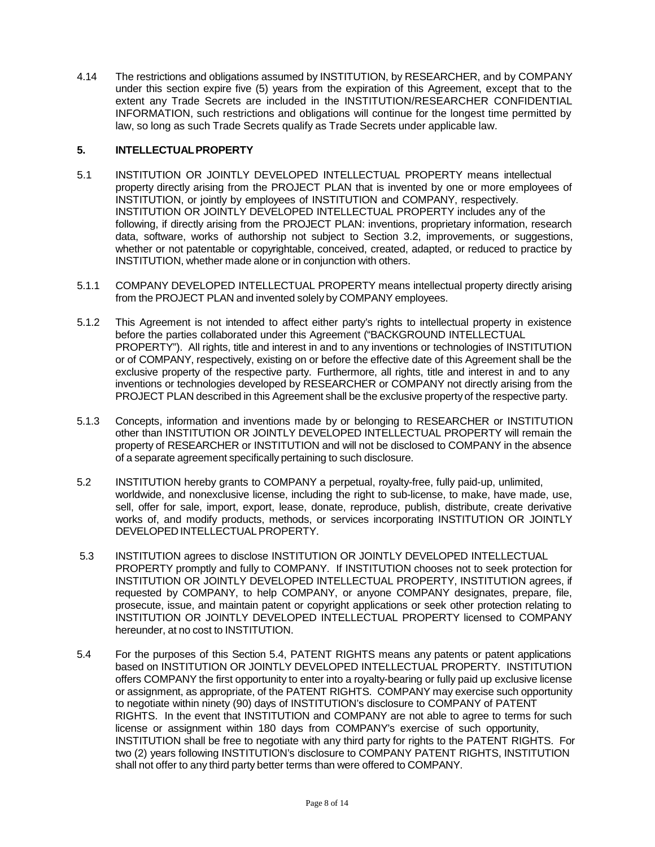4.14 The restrictions and obligations assumed by INSTITUTION, by RESEARCHER, and by COMPANY under this section expire five (5) years from the expiration of this Agreement, except that to the extent any Trade Secrets are included in the INSTITUTION/RESEARCHER CONFIDENTIAL INFORMATION, such restrictions and obligations will continue for the longest time permitted by law, so long as such Trade Secrets qualify as Trade Secrets under applicable law.

# **5. INTELLECTUALPROPERTY**

- 5.1 INSTITUTION OR JOINTLY DEVELOPED INTELLECTUAL PROPERTY means intellectual property directly arising from the PROJECT PLAN that is invented by one or more employees of INSTITUTION, or jointly by employees of INSTITUTION and COMPANY, respectively. INSTITUTION OR JOINTLY DEVELOPED INTELLECTUAL PROPERTY includes any of the following, if directly arising from the PROJECT PLAN: inventions, proprietary information, research data, software, works of authorship not subject to Section 3.2, improvements, or suggestions, whether or not patentable or copyrightable, conceived, created, adapted, or reduced to practice by INSTITUTION, whether made alone or in conjunction with others.
- 5.1.1 COMPANY DEVELOPED INTELLECTUAL PROPERTY means intellectual property directly arising from the PROJECT PLAN and invented solely by COMPANY employees.
- 5.1.2 This Agreement is not intended to affect either party's rights to intellectual property in existence before the parties collaborated under this Agreement ("BACKGROUND INTELLECTUAL PROPERTY"). All rights, title and interest in and to any inventions or technologies of INSTITUTION or of COMPANY, respectively, existing on or before the effective date of this Agreement shall be the exclusive property of the respective party. Furthermore, all rights, title and interest in and to any inventions or technologies developed by RESEARCHER or COMPANY not directly arising from the PROJECT PLAN described in this Agreement shall be the exclusive property of the respective party.
- 5.1.3 Concepts, information and inventions made by or belonging to RESEARCHER or INSTITUTION other than INSTITUTION OR JOINTLY DEVELOPED INTELLECTUAL PROPERTY will remain the property of RESEARCHER or INSTITUTION and will not be disclosed to COMPANY in the absence of a separate agreement specifically pertaining to such disclosure.
- 5.2 INSTITUTION hereby grants to COMPANY a perpetual, royalty-free, fully paid-up, unlimited, worldwide, and nonexclusive license, including the right to sub-license, to make, have made, use, sell, offer for sale, import, export, lease, donate, reproduce, publish, distribute, create derivative works of, and modify products, methods, or services incorporating INSTITUTION OR JOINTLY DEVELOPED INTELLECTUAL PROPERTY.
- 5.3 INSTITUTION agrees to disclose INSTITUTION OR JOINTLY DEVELOPED INTELLECTUAL PROPERTY promptly and fully to COMPANY. If INSTITUTION chooses not to seek protection for INSTITUTION OR JOINTLY DEVELOPED INTELLECTUAL PROPERTY, INSTITUTION agrees, if requested by COMPANY, to help COMPANY, or anyone COMPANY designates, prepare, file, prosecute, issue, and maintain patent or copyright applications or seek other protection relating to INSTITUTION OR JOINTLY DEVELOPED INTELLECTUAL PROPERTY licensed to COMPANY hereunder, at no cost to INSTITUTION.
- 5.4 For the purposes of this Section 5.4, PATENT RIGHTS means any patents or patent applications based on INSTITUTION OR JOINTLY DEVELOPED INTELLECTUAL PROPERTY. INSTITUTION offers COMPANY the first opportunity to enter into a royalty-bearing or fully paid up exclusive license or assignment, as appropriate, of the PATENT RIGHTS. COMPANY may exercise such opportunity to negotiate within ninety (90) days of INSTITUTION's disclosure to COMPANY of PATENT RIGHTS. In the event that INSTITUTION and COMPANY are not able to agree to terms for such license or assignment within 180 days from COMPANY's exercise of such opportunity, INSTITUTION shall be free to negotiate with any third party for rights to the PATENT RIGHTS. For two (2) years following INSTITUTION's disclosure to COMPANY PATENT RIGHTS, INSTITUTION shall not offer to any third party better terms than were offered to COMPANY.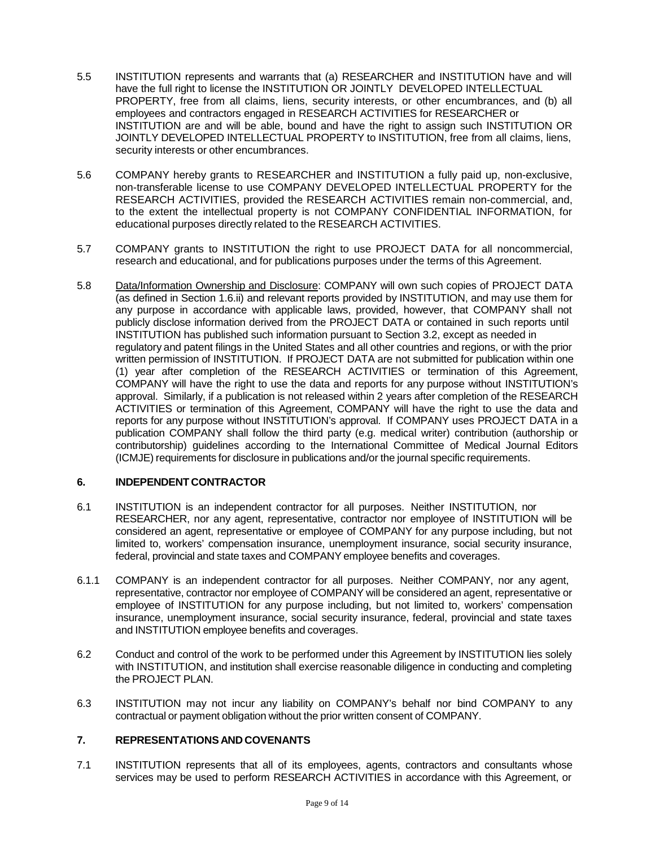- 5.5 INSTITUTION represents and warrants that (a) RESEARCHER and INSTITUTION have and will have the full right to license the INSTITUTION OR JOINTLY DEVELOPED INTELLECTUAL PROPERTY, free from all claims, liens, security interests, or other encumbrances, and (b) all employees and contractors engaged in RESEARCH ACTIVITIES for RESEARCHER or INSTITUTION are and will be able, bound and have the right to assign such INSTITUTION OR JOINTLY DEVELOPED INTELLECTUAL PROPERTY to INSTITUTION, free from all claims, liens, security interests or other encumbrances.
- 5.6 COMPANY hereby grants to RESEARCHER and INSTITUTION a fully paid up, non-exclusive, non-transferable license to use COMPANY DEVELOPED INTELLECTUAL PROPERTY for the RESEARCH ACTIVITIES, provided the RESEARCH ACTIVITIES remain non-commercial, and, to the extent the intellectual property is not COMPANY CONFIDENTIAL INFORMATION, for educational purposes directly related to the RESEARCH ACTIVITIES.
- 5.7 COMPANY grants to INSTITUTION the right to use PROJECT DATA for all noncommercial, research and educational, and for publications purposes under the terms of this Agreement.
- 5.8 Data/Information Ownership and Disclosure: COMPANY will own such copies of PROJECT DATA (as defined in Section 1.6.ii) and relevant reports provided by INSTITUTION, and may use them for any purpose in accordance with applicable laws, provided, however, that COMPANY shall not publicly disclose information derived from the PROJECT DATA or contained in such reports until INSTITUTION has published such information pursuant to Section 3.2, except as needed in regulatory and patent filings in the United States and all other countries and regions, or with the prior written permission of INSTITUTION. If PROJECT DATA are not submitted for publication within one (1) year after completion of the RESEARCH ACTIVITIES or termination of this Agreement, COMPANY will have the right to use the data and reports for any purpose without INSTITUTION's approval. Similarly, if a publication is not released within 2 years after completion of the RESEARCH ACTIVITIES or termination of this Agreement, COMPANY will have the right to use the data and reports for any purpose without INSTITUTION's approval. If COMPANY uses PROJECT DATA in a publication COMPANY shall follow the third party (e.g. medical writer) contribution (authorship or contributorship) guidelines according to the International Committee of Medical Journal Editors (ICMJE) requirements for disclosure in publications and/or the journal specific requirements.

#### **6. INDEPENDENT CONTRACTOR**

- 6.1 INSTITUTION is an independent contractor for all purposes. Neither INSTITUTION, nor RESEARCHER, nor any agent, representative, contractor nor employee of INSTITUTION will be considered an agent, representative or employee of COMPANY for any purpose including, but not limited to, workers' compensation insurance, unemployment insurance, social security insurance, federal, provincial and state taxes and COMPANY employee benefits and coverages.
- 6.1.1 COMPANY is an independent contractor for all purposes. Neither COMPANY, nor any agent, representative, contractor nor employee of COMPANY will be considered an agent, representative or employee of INSTITUTION for any purpose including, but not limited to, workers' compensation insurance, unemployment insurance, social security insurance, federal, provincial and state taxes and INSTITUTION employee benefits and coverages.
- 6.2 Conduct and control of the work to be performed under this Agreement by INSTITUTION lies solely with INSTITUTION, and institution shall exercise reasonable diligence in conducting and completing the PROJECT PLAN.
- 6.3 INSTITUTION may not incur any liability on COMPANY's behalf nor bind COMPANY to any contractual or payment obligation without the prior written consent of COMPANY.

#### **7. REPRESENTATIONS AND COVENANTS**

7.1 INSTITUTION represents that all of its employees, agents, contractors and consultants whose services may be used to perform RESEARCH ACTIVITIES in accordance with this Agreement, or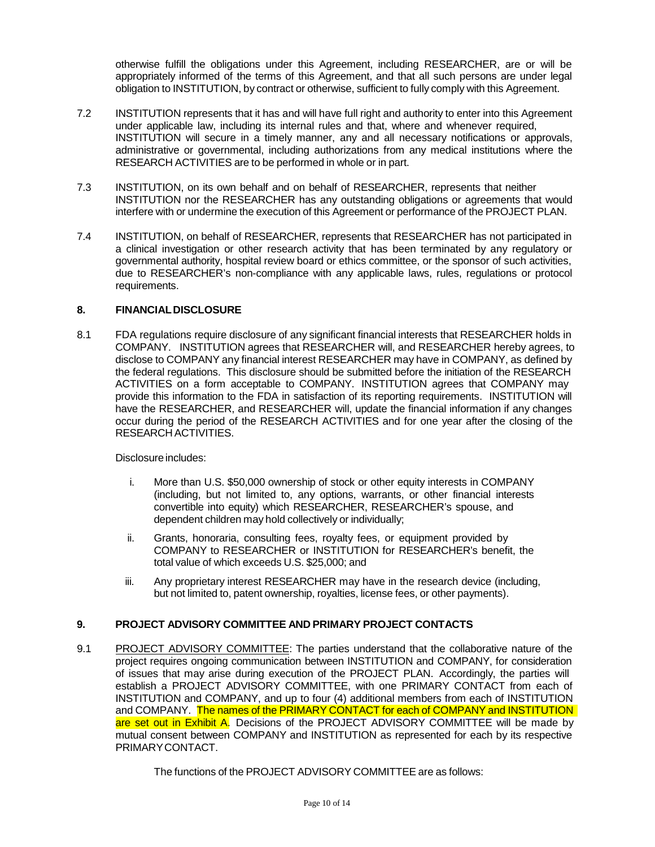otherwise fulfill the obligations under this Agreement, including RESEARCHER, are or will be appropriately informed of the terms of this Agreement, and that all such persons are under legal obligation to INSTITUTION, by contract or otherwise, sufficient to fully comply with this Agreement.

- 7.2 INSTITUTION represents that it has and will have full right and authority to enter into this Agreement under applicable law, including its internal rules and that, where and whenever required, INSTITUTION will secure in a timely manner, any and all necessary notifications or approvals, administrative or governmental, including authorizations from any medical institutions where the RESEARCH ACTIVITIES are to be performed in whole or in part.
- 7.3 INSTITUTION, on its own behalf and on behalf of RESEARCHER, represents that neither INSTITUTION nor the RESEARCHER has any outstanding obligations or agreements that would interfere with or undermine the execution of this Agreement or performance of the PROJECT PLAN.
- 7.4 INSTITUTION, on behalf of RESEARCHER, represents that RESEARCHER has not participated in a clinical investigation or other research activity that has been terminated by any regulatory or governmental authority, hospital review board or ethics committee, or the sponsor of such activities, due to RESEARCHER's non-compliance with any applicable laws, rules, regulations or protocol requirements.

### **8. FINANCIALDISCLOSURE**

8.1 FDA regulations require disclosure of any significant financial interests that RESEARCHER holds in COMPANY. INSTITUTION agrees that RESEARCHER will, and RESEARCHER hereby agrees, to disclose to COMPANY any financial interest RESEARCHER may have in COMPANY, as defined by the federal regulations. This disclosure should be submitted before the initiation of the RESEARCH ACTIVITIES on a form acceptable to COMPANY. INSTITUTION agrees that COMPANY may provide this information to the FDA in satisfaction of its reporting requirements. INSTITUTION will have the RESEARCHER, and RESEARCHER will, update the financial information if any changes occur during the period of the RESEARCH ACTIVITIES and for one year after the closing of the RESEARCH ACTIVITIES.

Disclosure includes:

- i. More than U.S. \$50,000 ownership of stock or other equity interests in COMPANY (including, but not limited to, any options, warrants, or other financial interests convertible into equity) which RESEARCHER, RESEARCHER's spouse, and dependent children may hold collectively or individually;
- ii. Grants, honoraria, consulting fees, royalty fees, or equipment provided by COMPANY to RESEARCHER or INSTITUTION for RESEARCHER's benefit, the total value of which exceeds U.S. \$25,000; and
- iii. Any proprietary interest RESEARCHER may have in the research device (including, but not limited to, patent ownership, royalties, license fees, or other payments).

# **9. PROJECT ADVISORY COMMITTEE AND PRIMARY PROJECT CONTACTS**

9.1 PROJECT ADVISORY COMMITTEE: The parties understand that the collaborative nature of the project requires ongoing communication between INSTITUTION and COMPANY, for consideration of issues that may arise during execution of the PROJECT PLAN. Accordingly, the parties will establish a PROJECT ADVISORY COMMITTEE, with one PRIMARY CONTACT from each of INSTITUTION and COMPANY, and up to four (4) additional members from each of INSTITUTION and COMPANY. The names of the PRIMARY CONTACT for each of COMPANY and INSTITUTION are set out in Exhibit A. Decisions of the PROJECT ADVISORY COMMITTEE will be made by mutual consent between COMPANY and INSTITUTION as represented for each by its respective PRIMARYCONTACT.

The functions of the PROJECT ADVISORY COMMITTEE are as follows: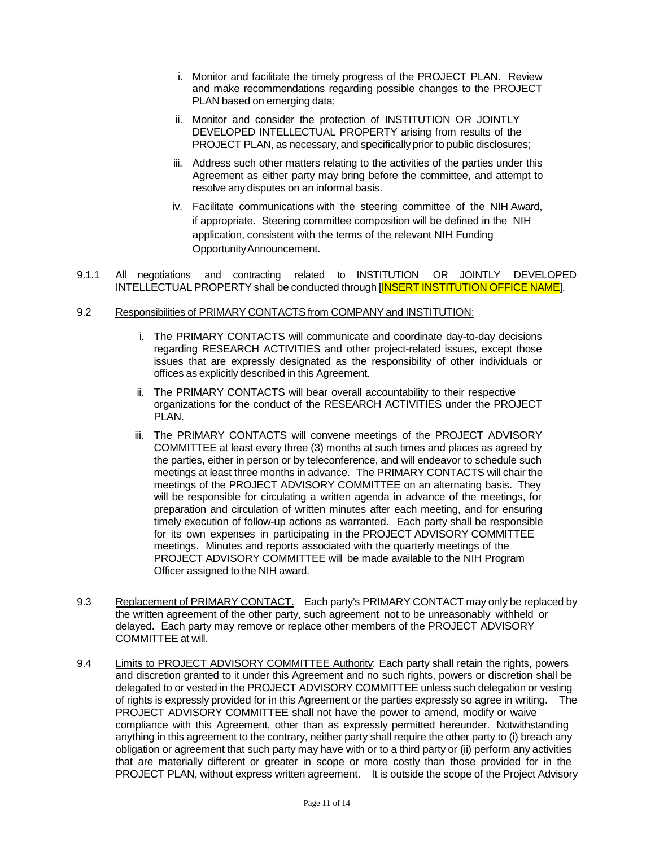- i. Monitor and facilitate the timely progress of the PROJECT PLAN. Review and make recommendations regarding possible changes to the PROJECT PLAN based on emerging data;
- ii. Monitor and consider the protection of INSTITUTION OR JOINTLY DEVELOPED INTELLECTUAL PROPERTY arising from results of the PROJECT PLAN, as necessary, and specifically prior to public disclosures;
- iii. Address such other matters relating to the activities of the parties under this Agreement as either party may bring before the committee, and attempt to resolve any disputes on an informal basis.
- iv. Facilitate communications with the steering committee of the NIH Award, if appropriate. Steering committee composition will be defined in the NIH application, consistent with the terms of the relevant NIH Funding OpportunityAnnouncement.
- 9.1.1 All negotiations and contracting related to INSTITUTION OR JOINTLY DEVELOPED INTELLECTUAL PROPERTY shall be conducted through [INSERT INSTITUTION OFFICE NAME].

#### 9.2 Responsibilities of PRIMARY CONTACTS from COMPANY and INSTITUTION:

- i. The PRIMARY CONTACTS will communicate and coordinate day-to-day decisions regarding RESEARCH ACTIVITIES and other project-related issues, except those issues that are expressly designated as the responsibility of other individuals or offices as explicitly described in this Agreement.
- ii. The PRIMARY CONTACTS will bear overall accountability to their respective organizations for the conduct of the RESEARCH ACTIVITIES under the PROJECT PLAN.
- iii. The PRIMARY CONTACTS will convene meetings of the PROJECT ADVISORY COMMITTEE at least every three (3) months at such times and places as agreed by the parties, either in person or by teleconference, and will endeavor to schedule such meetings at least three months in advance. The PRIMARY CONTACTS will chair the meetings of the PROJECT ADVISORY COMMITTEE on an alternating basis. They will be responsible for circulating a written agenda in advance of the meetings, for preparation and circulation of written minutes after each meeting, and for ensuring timely execution of follow-up actions as warranted. Each party shall be responsible for its own expenses in participating in the PROJECT ADVISORY COMMITTEE meetings. Minutes and reports associated with the quarterly meetings of the PROJECT ADVISORY COMMITTEE will be made available to the NIH Program Officer assigned to the NIH award.
- 9.3 Replacement of PRIMARY CONTACT. Each party's PRIMARY CONTACT may only be replaced by the written agreement of the other party, such agreement not to be unreasonably withheld or delayed. Each party may remove or replace other members of the PROJECT ADVISORY COMMITTEE at will.
- 9.4 Limits to PROJECT ADVISORY COMMITTEE Authority: Each party shall retain the rights, powers and discretion granted to it under this Agreement and no such rights, powers or discretion shall be delegated to or vested in the PROJECT ADVISORY COMMITTEE unless such delegation or vesting of rights is expressly provided for in this Agreement or the parties expressly so agree in writing. The PROJECT ADVISORY COMMITTEE shall not have the power to amend, modify or waive compliance with this Agreement, other than as expressly permitted hereunder. Notwithstanding anything in this agreement to the contrary, neither party shall require the other party to (i) breach any obligation or agreement that such party may have with or to a third party or (ii) perform any activities that are materially different or greater in scope or more costly than those provided for in the PROJECT PLAN, without express written agreement. It is outside the scope of the Project Advisory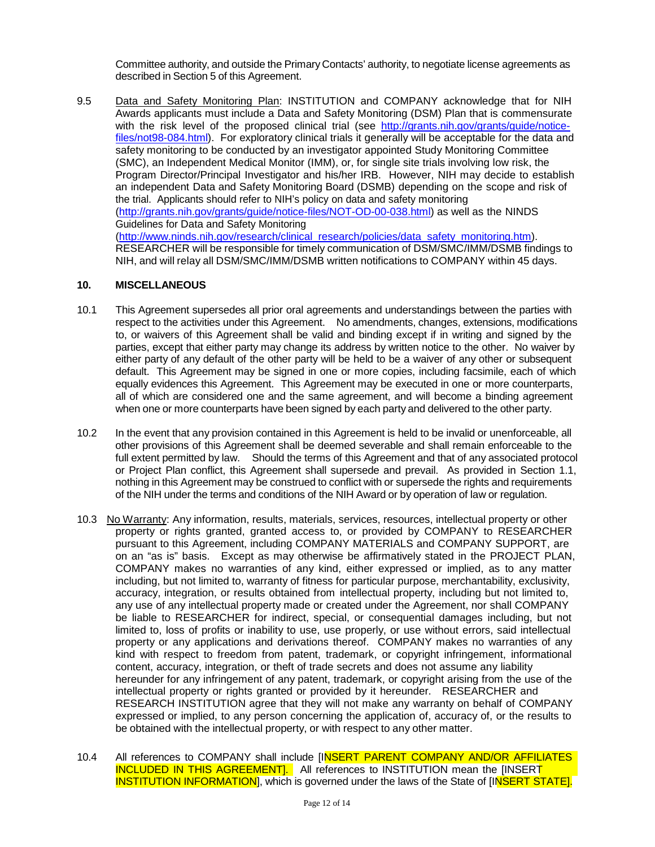Committee authority, and outside the Primary Contacts' authority, to negotiate license agreements as described in Section 5 of this Agreement.

9.5 Data and Safety Monitoring Plan: INSTITUTION and COMPANY acknowledge that for NIH Awards applicants must include a Data and Safety Monitoring (DSM) Plan that is commensurate with the risk level of the proposed clinical trial (see [http://grants.nih.gov/grants/guide/notice](http://grants.nih.gov/grants/guide/notice-files/not98-084.html)[files/not98-084.html\)](http://grants.nih.gov/grants/guide/notice-files/not98-084.html). For exploratory clinical trials it generally will be acceptable for the data and safety monitoring to be conducted by an investigator appointed Study Monitoring Committee (SMC), an Independent Medical Monitor (IMM), or, for single site trials involving low risk, the Program Director/Principal Investigator and his/her IRB. However, NIH may decide to establish an independent Data and Safety Monitoring Board (DSMB) depending on the scope and risk of the trial. Applicants should refer to NIH's policy on data and safety monitoring [\(http://grants.nih.gov/grants/guide/notice-files/NOT-OD-00-038.html\)](http://grants.nih.gov/grants/guide/notice-files/NOT-OD-00-038.html) as well as the NINDS Guidelines for Data and Safety Monitoring [\(http://www.ninds.nih.gov/research/clinical\\_research/policies/data\\_safety\\_monitoring.htm\)](http://www.ninds.nih.gov/research/clinical_research/policies/data_safety_monitoring.htm). RESEARCHER will be responsible for timely communication of DSM/SMC/IMM/DSMB findings to NIH, and will relay all DSM/SMC/IMM/DSMB written notifications to COMPANY within 45 days.

#### **10. MISCELLANEOUS**

- 10.1 This Agreement supersedes all prior oral agreements and understandings between the parties with respect to the activities under this Agreement. No amendments, changes, extensions, modifications to, or waivers of this Agreement shall be valid and binding except if in writing and signed by the parties, except that either party may change its address by written notice to the other. No waiver by either party of any default of the other party will be held to be a waiver of any other or subsequent default. This Agreement may be signed in one or more copies, including facsimile, each of which equally evidences this Agreement. This Agreement may be executed in one or more counterparts, all of which are considered one and the same agreement, and will become a binding agreement when one or more counterparts have been signed by each party and delivered to the other party.
- 10.2 In the event that any provision contained in this Agreement is held to be invalid or unenforceable, all other provisions of this Agreement shall be deemed severable and shall remain enforceable to the full extent permitted by law. Should the terms of this Agreement and that of any associated protocol or Project Plan conflict, this Agreement shall supersede and prevail. As provided in Section 1.1, nothing in this Agreement may be construed to conflict with or supersede the rights and requirements of the NIH under the terms and conditions of the NIH Award or by operation of law or regulation.
- 10.3 No Warranty: Any information, results, materials, services, resources, intellectual property or other property or rights granted, granted access to, or provided by COMPANY to RESEARCHER pursuant to this Agreement, including COMPANY MATERIALS and COMPANY SUPPORT, are on an "as is" basis. Except as may otherwise be affirmatively stated in the PROJECT PLAN, COMPANY makes no warranties of any kind, either expressed or implied, as to any matter including, but not limited to, warranty of fitness for particular purpose, merchantability, exclusivity, accuracy, integration, or results obtained from intellectual property, including but not limited to, any use of any intellectual property made or created under the Agreement, nor shall COMPANY be liable to RESEARCHER for indirect, special, or consequential damages including, but not limited to, loss of profits or inability to use, use properly, or use without errors, said intellectual property or any applications and derivations thereof. COMPANY makes no warranties of any kind with respect to freedom from patent, trademark, or copyright infringement, informational content, accuracy, integration, or theft of trade secrets and does not assume any liability hereunder for any infringement of any patent, trademark, or copyright arising from the use of the intellectual property or rights granted or provided by it hereunder. RESEARCHER and RESEARCH INSTITUTION agree that they will not make any warranty on behalf of COMPANY expressed or implied, to any person concerning the application of, accuracy of, or the results to be obtained with the intellectual property, or with respect to any other matter.
- 10.4 All references to COMPANY shall include [INSERT PARENT COMPANY AND/OR AFFILIATES **INCLUDED IN THIS AGREEMENT].** All references to INSTITUTION mean the [INSERT **INSTITUTION INFORMATION**, which is governed under the laws of the State of [INSERT STATE].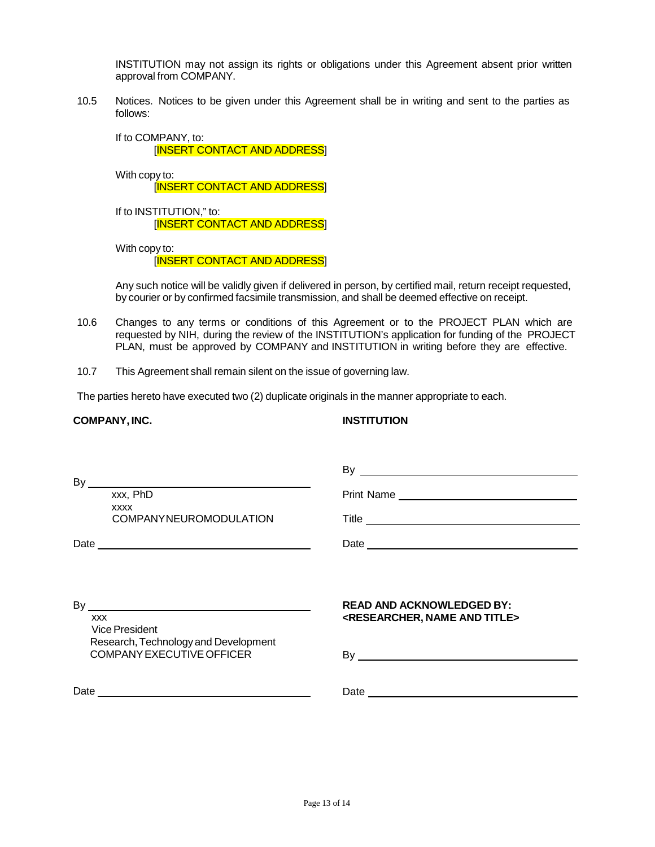INSTITUTION may not assign its rights or obligations under this Agreement absent prior written approval from COMPANY.

10.5 Notices. Notices to be given under this Agreement shall be in writing and sent to the parties as follows:

If to COMPANY, to:

[INSERT CONTACT AND ADDRESS]

With copy to:

[INSERT CONTACT AND ADDRESS]

If to INSTITUTION," to: [INSERT CONTACT AND ADDRESS]

With copy to:

[INSERT CONTACT AND ADDRESS]

Any such notice will be validly given if delivered in person, by certified mail, return receipt requested, by courier or by confirmed facsimile transmission, and shall be deemed effective on receipt.

- 10.6 Changes to any terms or conditions of this Agreement or to the PROJECT PLAN which are requested by NIH, during the review of the INSTITUTION's application for funding of the PROJECT PLAN, must be approved by COMPANY and INSTITUTION in writing before they are effective.
- 10.7 This Agreement shall remain silent on the issue of governing law.

The parties hereto have executed two (2) duplicate originals in the manner appropriate to each.

#### **COMPANY, INC. INSTITUTION**

| By<br><u> 1989 - John Stein, mars and de Brazilian (b. 1989)</u><br>xxx, PhD<br><b>XXXX</b><br><b>COMPANYNEUROMODULATION</b> | $By_$<br><u> 1989 - Johann Stein, mars an deus Amerikaansk kommunister (</u><br>Print Name<br>Title                          |
|------------------------------------------------------------------------------------------------------------------------------|------------------------------------------------------------------------------------------------------------------------------|
| Date <u>experience</u>                                                                                                       | Date <u>experience</u>                                                                                                       |
| By<br><b>XXX</b><br><b>Vice President</b><br>Research, Technology and Development<br><b>COMPANY EXECUTIVE OFFICER</b>        | <b>READ AND ACKNOWLEDGED BY:</b><br><researcher, and="" name="" title=""></researcher,>                                      |
| Date                                                                                                                         | Date<br><u> 1989 - Johann Barbara, martin amerikan basar dan berasal dalam basa dalam basar dalam basar dalam basar dala</u> |